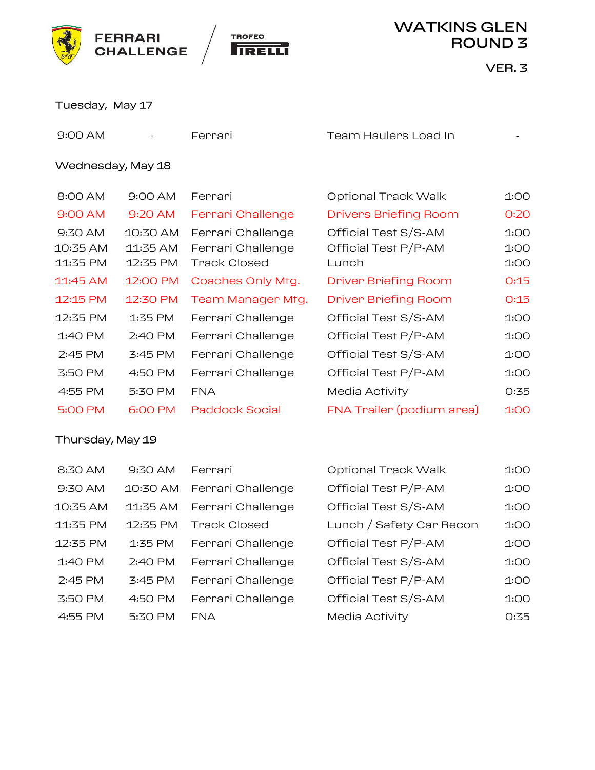



|                                 | <b>FERRARI</b><br><b>CHALLENGE</b> | <b>TROFEO</b>                                                 | <b>WATKINS GLEN</b><br><b>ROUND 3</b>                 |                      |  |
|---------------------------------|------------------------------------|---------------------------------------------------------------|-------------------------------------------------------|----------------------|--|
|                                 |                                    |                                                               |                                                       | VER. 3               |  |
| Tuesday, May 17                 |                                    |                                                               |                                                       |                      |  |
| 9:00 AM                         |                                    | Ferrari                                                       | Team Haulers Load In                                  |                      |  |
| Wednesday, May 18               |                                    |                                                               |                                                       |                      |  |
| 8:00 AM                         | 9:00 AM                            | Ferrari                                                       | Optional Track Walk                                   | 1:00                 |  |
| 9:00 AM                         | 9:20 AM                            | Ferrari Challenge                                             | <b>Drivers Briefing Room</b>                          | 0:20                 |  |
| 9:30 AM<br>10:35 AM<br>11:35 PM | 10:30 AM<br>11:35 AM<br>12:35 PM   | Ferrari Challenge<br>Ferrari Challenge<br><b>Track Closed</b> | Official Test S/S-AM<br>Official Test P/P-AM<br>Lunch | 1:00<br>1:00<br>1:00 |  |
| 11:45 AM                        | 12:00 PM                           | Coaches Only Mtg.                                             | <b>Driver Briefing Room</b>                           | 0:15                 |  |
| 12:15 PM                        | 12:30 PM                           | Team Manager Mtg.                                             | <b>Driver Briefing Room</b>                           | 0:15                 |  |
| 12:35 PM                        | 1:35 PM                            | Ferrari Challenge                                             | Official Test S/S-AM                                  | 1:00                 |  |
| 1:40 PM                         | 2:40 PM                            | Ferrari Challenge                                             | Official Test P/P-AM                                  | 1:00                 |  |
| 2:45 PM                         | 3:45 PM                            | Ferrari Challenge                                             | Official Test S/S-AM                                  | 1:00                 |  |
| 3:50 PM                         | 4:50 PM                            | Ferrari Challenge                                             | Official Test P/P-AM                                  | 1:00                 |  |
| 4:55 PM                         | 5:30 PM                            | <b>FNA</b>                                                    | Media Activity                                        | 0:35                 |  |
| 5:00 PM                         | 6:00 PM                            | <b>Paddock Social</b>                                         | FNA Trailer (podium area)                             | 1:00                 |  |
| Thursday, May 19                |                                    |                                                               |                                                       |                      |  |
| 8:30 AM                         | 9:30 AM                            | Ferrari                                                       | Optional Track Walk                                   | 1:00                 |  |
| 9:30 AM                         | 10:30 AM                           | Ferrari Challenge                                             | Official Test P/P-AM                                  | 1:00                 |  |
| 10:35 AM                        | 11:35 AM                           | Ferrari Challenge                                             | Official Test S/S-AM                                  | 1:00                 |  |

| 4:55 PM          | 5:30 PM  | <b>FNA</b>            | Media Activity            | 0:35 |  |  |
|------------------|----------|-----------------------|---------------------------|------|--|--|
| 5:00 PM          | 6:00 PM  | <b>Paddock Social</b> | FNA Trailer (podium area) | 1:00 |  |  |
| Thursday, May 19 |          |                       |                           |      |  |  |
|                  |          |                       |                           |      |  |  |
| 8:30 AM          | 9:30 AM  | Ferrari               | Optional Track Walk       | 1:00 |  |  |
| 9:30 AM          | 10:30 AM | Ferrari Challenge     | Official Test P/P-AM      | 1:00 |  |  |
| 10:35 AM         | 11:35 AM | Ferrari Challenge     | Official Test S/S-AM      | 1:00 |  |  |
| 11:35 PM         | 12:35 PM | <b>Track Closed</b>   | Lunch / Safety Car Recon  | 1:00 |  |  |
| 12:35 PM         | 1:35 PM  | Ferrari Challenge     | Official Test P/P-AM      | 1:00 |  |  |
| 1:40 PM          | 2:40 PM  | Ferrari Challenge     | Official Test S/S-AM      | 1:00 |  |  |
| 2:45 PM          | 3:45 PM  | Ferrari Challenge     | Official Test P/P-AM      | 1:00 |  |  |
| 3:50 PM          | 4:50 PM  | Ferrari Challenge     | Official Test S/S-AM      | 1:00 |  |  |
| 4:55 PM          | 5:30 PM  | <b>FNA</b>            | Media Activity            | 0:35 |  |  |
|                  |          |                       |                           |      |  |  |
|                  |          |                       |                           |      |  |  |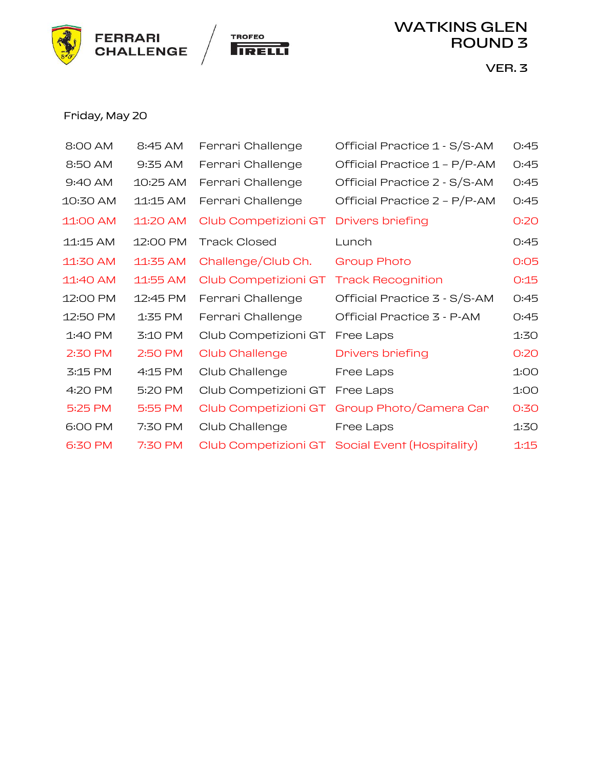



# Friday, May 20

| <b>FERRARI</b> | <b>CHALLENGE</b> | <b>TROFEO</b>                          | <b>WATKINS GLEN</b><br><b>ROUND 3</b>           |      |  |
|----------------|------------------|----------------------------------------|-------------------------------------------------|------|--|
|                |                  |                                        | VER. 3                                          |      |  |
|                |                  |                                        |                                                 |      |  |
| Friday, May 20 |                  |                                        |                                                 |      |  |
| 8:00 AM        | 8:45 AM          | Ferrari Challenge                      | Official Practice 1 - S/S-AM                    | 0:45 |  |
| 8:50 AM        | 9:35 AM          | Ferrari Challenge                      | Official Practice 1 - P/P-AM                    | 0:45 |  |
| 9:40 AM        | 10:25 AM         | Ferrari Challenge                      | Official Practice 2 - S/S-AM                    | O:45 |  |
| 10:30 AM       | 11:15 AM         | Ferrari Challenge                      | Official Practice 2 - P/P-AM                    | 0:45 |  |
| 11:00 AM       | 11:20 AM         | Club Competizioni GT                   | <b>Drivers briefing</b>                         | O:2O |  |
| 11:15 AM       | 12:00 PM         | <b>Track Closed</b>                    | Lunch                                           | 0:45 |  |
| 11:30 AM       | 11:35 AM         | Challenge/Club Ch.                     | <b>Group Photo</b>                              | O:O5 |  |
| 11:40 AM       | 11:55 AM         | Club Competizioni GT Track Recognition |                                                 | 0:15 |  |
| 12:00 PM       | 12:45 PM         | Ferrari Challenge                      | Official Practice 3 - S/S-AM                    | 0:45 |  |
| 12:50 PM       | 1:35 PM          | Ferrari Challenge                      | Official Practice 3 - P-AM                      | 0:45 |  |
| 1:40 PM        | 3:10 PM          | Club Competizioni GT                   | Free Laps                                       | 1:30 |  |
| 2:30 PM        | 2:50 PM          | <b>Club Challenge</b>                  | <b>Drivers briefing</b>                         | 0:20 |  |
| 3:15 PM        | 4:15 PM          | Club Challenge                         | Free Laps                                       | 1:00 |  |
| 4:20 PM        | 5:20 PM          | Club Competizioni GT                   | Free Laps                                       | 1:00 |  |
| 5:25 PM        | 5:55 PM          | Club Competizioni GT                   | Group Photo/Camera Car                          | 0:30 |  |
| 6:00 PM        | 7:30 PM          | Club Challenge                         | Free Laps                                       | 1:30 |  |
| 6:30 PM        | 7:30 PM          |                                        | Club Competizioni GT Social Event (Hospitality) | 1:15 |  |
|                |                  |                                        |                                                 |      |  |